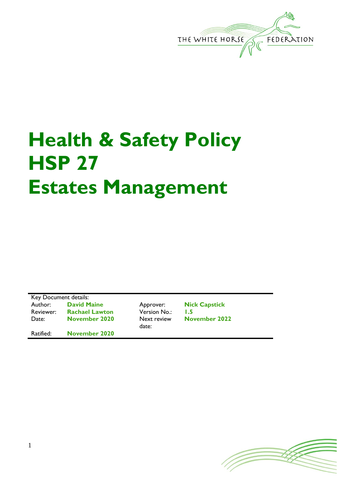

# **Health & Safety Policy HSP 27 Estates Management**

Key Document details: Author: **David Maine** Approver: **Nick Capstick** Reviewer: **Rachael Lawton** Version No.: 1.5<br>Date: **November 2020** Next review No Date: **November 2020** 

Ratified: **November 2020**

date:

**November 2022**

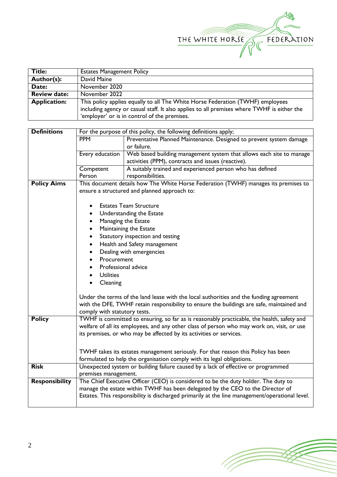

| <b>Title:</b>       | <b>Estates Management Policy</b>                                                           |
|---------------------|--------------------------------------------------------------------------------------------|
| Author(s):          | David Maine                                                                                |
| Date:               | November 2020                                                                              |
| <b>Review date:</b> | November 2022                                                                              |
| <b>Application:</b> | This policy applies equally to all The White Horse Federation (TWHF) employees             |
|                     | including agency or casual staff. It also applies to all premises where TWHF is either the |
|                     | 'employer' or is in control of the premises.                                               |

| <b>Definitions</b>    | For the purpose of this policy, the following definitions apply;                       |                                                                                                                           |  |  |  |
|-----------------------|----------------------------------------------------------------------------------------|---------------------------------------------------------------------------------------------------------------------------|--|--|--|
|                       | <b>PPM</b>                                                                             | Preventative Planned Maintenance. Designed to prevent system damage                                                       |  |  |  |
|                       |                                                                                        | or failure.                                                                                                               |  |  |  |
|                       | Every education                                                                        | Web based building management system that allows each site to manage                                                      |  |  |  |
|                       |                                                                                        | activities (PPM), contracts and issues (reactive).                                                                        |  |  |  |
|                       | Competent                                                                              | A suitably trained and experienced person who has defined                                                                 |  |  |  |
|                       | Person                                                                                 | responsibilities.                                                                                                         |  |  |  |
| <b>Policy Aims</b>    |                                                                                        | This document details how The White Horse Federation (TWHF) manages its premises to                                       |  |  |  |
|                       |                                                                                        | ensure a structured and planned approach to:                                                                              |  |  |  |
|                       |                                                                                        |                                                                                                                           |  |  |  |
|                       |                                                                                        | <b>Estates Team Structure</b>                                                                                             |  |  |  |
|                       |                                                                                        | Understanding the Estate                                                                                                  |  |  |  |
|                       |                                                                                        | Managing the Estate                                                                                                       |  |  |  |
|                       |                                                                                        | Maintaining the Estate                                                                                                    |  |  |  |
|                       | Statutory inspection and testing<br>$\bullet$                                          |                                                                                                                           |  |  |  |
|                       | Health and Safety management<br>$\bullet$                                              |                                                                                                                           |  |  |  |
|                       | Dealing with emergencies                                                               |                                                                                                                           |  |  |  |
|                       | Procurement                                                                            |                                                                                                                           |  |  |  |
|                       | Professional advice                                                                    |                                                                                                                           |  |  |  |
|                       | <b>Utilities</b>                                                                       |                                                                                                                           |  |  |  |
|                       | Cleaning                                                                               |                                                                                                                           |  |  |  |
|                       |                                                                                        |                                                                                                                           |  |  |  |
|                       | Under the terms of the land lease with the local authorities and the funding agreement |                                                                                                                           |  |  |  |
|                       |                                                                                        |                                                                                                                           |  |  |  |
|                       |                                                                                        | with the DFE, TWHF retain responsibility to ensure the buildings are safe, maintained and<br>comply with statutory tests. |  |  |  |
| <b>Policy</b>         |                                                                                        | TWHF is committed to ensuring, so far as is reasonably practicable, the health, safety and                                |  |  |  |
|                       |                                                                                        | welfare of all its employees, and any other class of person who may work on, visit, or use                                |  |  |  |
|                       |                                                                                        | its premises, or who may be affected by its activities or services.                                                       |  |  |  |
|                       |                                                                                        |                                                                                                                           |  |  |  |
|                       |                                                                                        |                                                                                                                           |  |  |  |
|                       | TWHF takes its estates management seriously. For that reason this Policy has been      |                                                                                                                           |  |  |  |
|                       | formulated to help the organisation comply with its legal obligations.                 |                                                                                                                           |  |  |  |
| <b>Risk</b>           |                                                                                        | Unexpected system or building failure caused by a lack of effective or programmed                                         |  |  |  |
|                       | premises management.                                                                   |                                                                                                                           |  |  |  |
| <b>Responsibility</b> |                                                                                        | The Chief Executive Officer (CEO) is considered to be the duty holder. The duty to                                        |  |  |  |
|                       |                                                                                        | manage the estate within TWHF has been delegated by the CEO to the Director of                                            |  |  |  |
|                       |                                                                                        | Estates. This responsibility is discharged primarily at the line management/operational level.                            |  |  |  |
|                       |                                                                                        |                                                                                                                           |  |  |  |

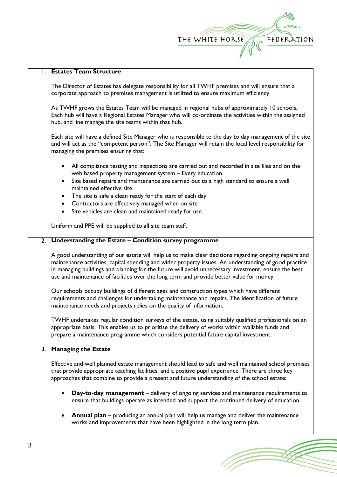| THE WHITE HORSE | FEDERATION |
|-----------------|------------|
|                 |            |

17

|                  | <b>Estates Team Structure</b>                                                                                                                                                                                                                                                                                                                                                                                      |  |  |
|------------------|--------------------------------------------------------------------------------------------------------------------------------------------------------------------------------------------------------------------------------------------------------------------------------------------------------------------------------------------------------------------------------------------------------------------|--|--|
|                  | The Director of Estates has delegate responsibility for all TWHF premises and will ensure that a<br>corporate approach to premises management is utilized to ensure maximum efficiency.                                                                                                                                                                                                                            |  |  |
|                  | As TWHF grows the Estates Team will be managed in regional hubs of approximately 10 schools.<br>Each hub will have a Regional Estates Manager who will co-ordinate the activities within the assigned<br>hub, and line manage the site teams within that hub.                                                                                                                                                      |  |  |
|                  | Each site will have a defined Site Manager who is responsible to the day to day management of the site<br>and will act as the "competent person". The Site Manager will retain the local level responsibility for<br>managing the premises ensuring that:                                                                                                                                                          |  |  |
|                  | All compliance testing and inspections are carried out and recorded in site files and on the<br>web based property management system - Every education.<br>Site based repairs and maintenance are carried out to a high standard to ensure a well<br>$\bullet$                                                                                                                                                     |  |  |
|                  | maintained effective site.                                                                                                                                                                                                                                                                                                                                                                                         |  |  |
|                  | • The site is safe a clean ready for the start of each day.<br>• Contractors are effectively managed when on site.                                                                                                                                                                                                                                                                                                 |  |  |
|                  | Site vehicles are clean and maintained ready for use.<br>$\bullet$                                                                                                                                                                                                                                                                                                                                                 |  |  |
|                  |                                                                                                                                                                                                                                                                                                                                                                                                                    |  |  |
|                  | Uniform and PPE will be supplied to all site team staff.                                                                                                                                                                                                                                                                                                                                                           |  |  |
| $\overline{2}$ . | Understanding the Estate - Condition survey programme                                                                                                                                                                                                                                                                                                                                                              |  |  |
|                  | A good understanding of our estate will help us to make clear decisions regarding ongoing repairs and<br>maintenance activities, capital spending and wider property issues. An understanding of good practice<br>in managing buildings and planning for the future will avoid unnecessary investment, ensure the best<br>use and maintenance of facilities over the long term and provide better value for money. |  |  |
|                  | Our schools occupy buildings of different ages and construction types which have different<br>requirements and challenges for undertaking maintenance and repairs. The identification of future<br>maintenance needs and projects relies on the quality of information.                                                                                                                                            |  |  |
|                  | TWHF undertakes regular condition surveys of the estate, using suitably qualified professionals on an<br>appropriate basis. This enables us to prioritise the delivery of works within available funds and<br>prepare a maintenance programme which considers potential future capital investment.                                                                                                                 |  |  |
| 3.               | <b>Managing the Estate</b>                                                                                                                                                                                                                                                                                                                                                                                         |  |  |
|                  | Effective and well planned estate management should lead to safe and well maintained school premises<br>that provide appropriate teaching facilities, and a positive pupil experience. There are three key<br>approaches that combine to provide a present and future understanding of the school estate:                                                                                                          |  |  |
|                  | <b>Day-to-day management</b> – delivery of ongoing services and maintenance requirements to<br>ensure that buildings operate as intended and support the continued delivery of education.                                                                                                                                                                                                                          |  |  |
|                  | <b>Annual plan</b> – producing an annual plan will help us manage and deliver the maintenance<br>works and improvements that have been highlighted in the long term plan.                                                                                                                                                                                                                                          |  |  |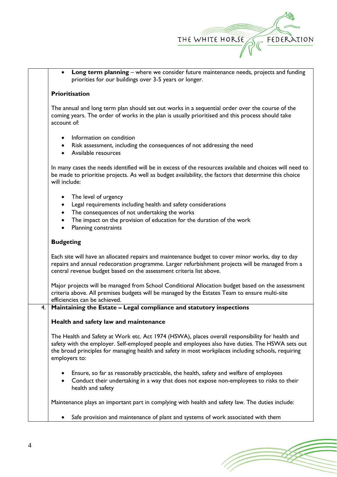

**Long term planning** – where we consider future maintenance needs, projects and funding priorities for our buildings over 3-5 years or longer.

## **Prioritisation**

The annual and long term plan should set out works in a sequential order over the course of the coming years. The order of works in the plan is usually prioritised and this process should take account of:

- Information on condition
- Risk assessment, including the consequences of not addressing the need
- Available resources

In many cases the needs identified will be in excess of the resources available and choices will need to be made to prioritise projects. As well as budget availability, the factors that determine this choice will include:

- The level of urgency
- Legal requirements including health and safety considerations
- The consequences of not undertaking the works
- The impact on the provision of education for the duration of the work
- Planning constraints

#### **Budgeting**

Each site will have an allocated repairs and maintenance budget to cover minor works, day to day repairs and annual redecoration programme. Larger refurbishment projects will be managed from a central revenue budget based on the assessment criteria list above.

Major projects will be managed from School Conditional Allocation budget based on the assessment criteria above. All premises budgets will be managed by the Estates Team to ensure multi-site efficiencies can be achieved.

# 4. **Maintaining the Estate – Legal compliance and statutory inspections**

#### **Health and safety law and maintenance**

The Health and Safety at Work etc. Act 1974 (HSWA), places overall responsibility for health and safety with the employer. Self-employed people and employees also have duties. The HSWA sets out the broad principles for managing health and safety in most workplaces including schools, requiring employers to:

- Ensure, so far as reasonably practicable, the health, safety and welfare of employees
- Conduct their undertaking in a way that does not expose non-employees to risks to their health and safety

Maintenance plays an important part in complying with health and safety law. The duties include:

Safe provision and maintenance of plant and systems of work associated with them

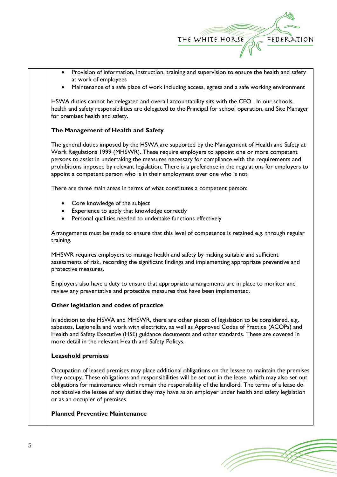

- Provision of information, instruction, training and supervision to ensure the health and safety at work of employees
- Maintenance of a safe place of work including access, egress and a safe working environment

HSWA duties cannot be delegated and overall accountability sits with the CEO. In our schools, health and safety responsibilities are delegated to the Principal for school operation, and Site Manager for premises health and safety.

# **The Management of Health and Safety**

The general duties imposed by the HSWA are supported by the Management of Health and Safety at Work Regulations 1999 (MHSWR). These require employers to appoint one or more competent persons to assist in undertaking the measures necessary for compliance with the requirements and prohibitions imposed by relevant legislation. There is a preference in the regulations for employers to appoint a competent person who is in their employment over one who is not.

There are three main areas in terms of what constitutes a competent person:

- Core knowledge of the subject
- Experience to apply that knowledge correctly
- Personal qualities needed to undertake functions effectively

Arrangements must be made to ensure that this level of competence is retained e.g. through regular training.

MHSWR requires employers to manage health and safety by making suitable and sufficient assessments of risk, recording the significant findings and implementing appropriate preventive and protective measures.

Employers also have a duty to ensure that appropriate arrangements are in place to monitor and review any preventative and protective measures that have been implemented.

#### **Other legislation and codes of practice**

In addition to the HSWA and MHSWR, there are other pieces of legislation to be considered, e.g. asbestos, Legionella and work with electricity, as well as Approved Codes of Practice (ACOPs) and Health and Safety Executive (HSE) guidance documents and other standards. These are covered in more detail in the relevant Health and Safety Policys.

#### **Leasehold premises**

Occupation of leased premises may place additional obligations on the lessee to maintain the premises they occupy. These obligations and responsibilities will be set out in the lease, which may also set out obligations for maintenance which remain the responsibility of the landlord. The terms of a lease do not absolve the lessee of any duties they may have as an employer under health and safety legislation or as an occupier of premises.

#### **Planned Preventive Maintenance**

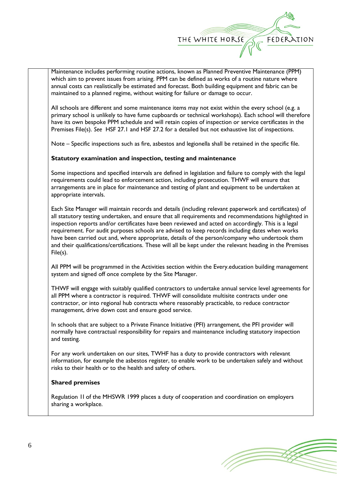

Maintenance includes performing routine actions, known as Planned Preventive Maintenance (PPM) which aim to prevent issues from arising. PPM can be defined as works of a routine nature where annual costs can realistically be estimated and forecast. Both building equipment and fabric can be maintained to a planned regime, without waiting for failure or damage to occur.

All schools are different and some maintenance items may not exist within the every school (e.g. a primary school is unlikely to have fume cupboards or technical workshops). Each school will therefore have its own bespoke PPM schedule and will retain copies of inspection or service certificates in the Premises File(s). *See* HSF 27.1 and HSF 27.2 for a detailed but not exhaustive list of inspections.

Note – Specific inspections such as fire, asbestos and legionella shall be retained in the specific file.

# **Statutory examination and inspection, testing and maintenance**

Some inspections and specified intervals are defined in legislation and failure to comply with the legal requirements could lead to enforcement action, including prosecution. THWF will ensure that arrangements are in place for maintenance and testing of plant and equipment to be undertaken at appropriate intervals.

Each Site Manager will maintain records and details (including relevant paperwork and certificates) of all statutory testing undertaken, and ensure that all requirements and recommendations highlighted in inspection reports and/or certificates have been reviewed and acted on accordingly. This is a legal requirement. For audit purposes schools are advised to keep records including dates when works have been carried out and, where appropriate, details of the person/company who undertook them and their qualifications/certifications. These will all be kept under the relevant heading in the Premises File(s).

All PPM will be programmed in the Activities section within the Every.education building management system and signed off once complete by the Site Manager.

THWF will engage with suitably qualified contractors to undertake annual service level agreements for all PPM where a contractor is required. THWF will consolidate multisite contracts under one contractor, or into regional hub contracts where reasonably practicable, to reduce contractor management, drive down cost and ensure good service.

In schools that are subject to a Private Finance Initiative (PFI) arrangement, the PFI provider will normally have contractual responsibility for repairs and maintenance including statutory inspection and testing.

For any work undertaken on our sites, TWHF has a duty to provide contractors with relevant information, for example the asbestos register, to enable work to be undertaken safely and without risks to their health or to the health and safety of others.

#### **Shared premises**

Regulation 1I of the MHSWR 1999 places a duty of cooperation and coordination on employers sharing a workplace.

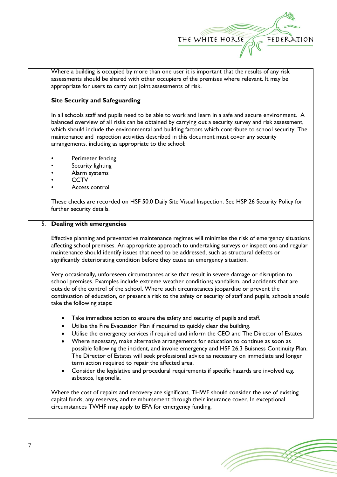

Where a building is occupied by more than one user it is important that the results of any risk assessments should be shared with other occupiers of the premises where relevant. It may be appropriate for users to carry out joint assessments of risk.

# **Site Security and Safeguarding**

In all schools staff and pupils need to be able to work and learn in a safe and secure environment. A balanced overview of all risks can be obtained by carrying out a security survey and risk assessment, which should include the environmental and building factors which contribute to school security. The maintenance and inspection activities described in this document must cover any security arrangements, including as appropriate to the school:

- Perimeter fencing
- Security lighting
- Alarm systems
- CCTV
- Access control

These checks are recorded on HSF 50.0 Daily Site Visual Inspection. See HSP 26 Security Policy for further security details.

### 5. **Dealing with emergencies**

Effective planning and preventative maintenance regimes will minimise the risk of emergency situations affecting school premises. An appropriate approach to undertaking surveys or inspections and regular maintenance should identify issues that need to be addressed, such as structural defects or significantly deteriorating condition before they cause an emergency situation.

Very occasionally, unforeseen circumstances arise that result in severe damage or disruption to school premises. Examples include extreme weather conditions; vandalism, and accidents that are outside of the control of the school. Where such circumstances jeopardise or prevent the continuation of education, or present a risk to the safety or security of staff and pupils, schools should take the following steps:

- Take immediate action to ensure the safety and security of pupils and staff.
- Utilise the Fire Evacuation Plan if required to quickly clear the building.
- Utilise the emergency services if required and inform the CEO and The Director of Estates
- Where necessary, make alternative arrangements for education to continue as soon as possible following the incident, and invoke emergency and HSF 26.3 Buisness Continuity Plan. The Director of Estates will seek professional advice as necessary on immediate and longer term action required to repair the affected area.
- Consider the legislative and procedural requirements if specific hazards are involved e.g. asbestos, legionella.

Where the cost of repairs and recovery are significant, THWF should consider the use of existing capital funds, any reserves, and reimbursement through their insurance cover. In exceptional circumstances TWHF may apply to EFA for emergency funding.

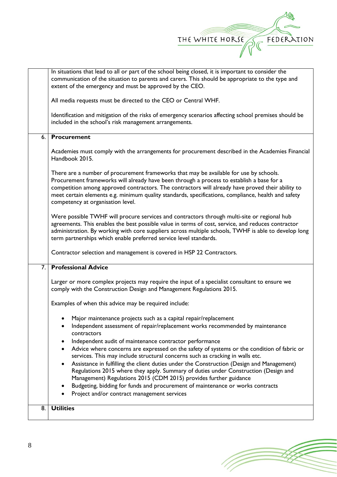

| communication of the situation to parents and carers. This should be appropriate to the type and<br>extent of the emergency and must be approved by the CEO.<br>All media requests must be directed to the CEO or Central WHF.<br>Identification and mitigation of the risks of emergency scenarios affecting school premises should be<br>included in the school's risk management arrangements.<br><b>Procurement</b><br>6.<br>Academies must comply with the arrangements for procurement described in the Academies Financial<br>Handbook 2015.<br>There are a number of procurement frameworks that may be available for use by schools.<br>Procurement frameworks will already have been through a process to establish a base for a<br>competition among approved contractors. The contractors will already have proved their ability to<br>meet certain elements e.g. minimum quality standards, specifications, compliance, health and safety<br>competency at organisation level.<br>Were possible TWHF will procure services and contractors through multi-site or regional hub<br>agreements. This enables the best possible value in terms of cost, service, and reduces contractor<br>administration. By working with core suppliers across multiple schools, TWHF is able to develop long<br>term partnerships which enable preferred service level standards.<br>Contractor selection and management is covered in HSP 22 Contractors.<br><b>Professional Advice</b><br>7.<br>Larger or more complex projects may require the input of a specialist consultant to ensure we<br>comply with the Construction Design and Management Regulations 2015.<br>Examples of when this advice may be required include:<br>Major maintenance projects such as a capital repair/replacement<br>Independent assessment of repair/replacement works recommended by maintenance<br>contractors<br>Independent audit of maintenance contractor performance<br>Advice where concerns are expressed on the safety of systems or the condition of fabric or<br>services. This may include structural concerns such as cracking in walls etc.<br>Assistance in fulfilling the client duties under the Construction (Design and Management)<br>٠<br>Regulations 2015 where they apply. Summary of duties under Construction (Design and<br>Management) Regulations 2015 (CDM 2015) provides further guidance<br>Budgeting, bidding for funds and procurement of maintenance or works contracts<br>Project and/or contract management services |    | In situations that lead to all or part of the school being closed, it is important to consider the |
|------------------------------------------------------------------------------------------------------------------------------------------------------------------------------------------------------------------------------------------------------------------------------------------------------------------------------------------------------------------------------------------------------------------------------------------------------------------------------------------------------------------------------------------------------------------------------------------------------------------------------------------------------------------------------------------------------------------------------------------------------------------------------------------------------------------------------------------------------------------------------------------------------------------------------------------------------------------------------------------------------------------------------------------------------------------------------------------------------------------------------------------------------------------------------------------------------------------------------------------------------------------------------------------------------------------------------------------------------------------------------------------------------------------------------------------------------------------------------------------------------------------------------------------------------------------------------------------------------------------------------------------------------------------------------------------------------------------------------------------------------------------------------------------------------------------------------------------------------------------------------------------------------------------------------------------------------------------------------------------------------------------------------------------------------------------------------------------------------------------------------------------------------------------------------------------------------------------------------------------------------------------------------------------------------------------------------------------------------------------------------------------------------------------------------------------------------------------------------------------------------------------------------------------|----|----------------------------------------------------------------------------------------------------|
|                                                                                                                                                                                                                                                                                                                                                                                                                                                                                                                                                                                                                                                                                                                                                                                                                                                                                                                                                                                                                                                                                                                                                                                                                                                                                                                                                                                                                                                                                                                                                                                                                                                                                                                                                                                                                                                                                                                                                                                                                                                                                                                                                                                                                                                                                                                                                                                                                                                                                                                                          |    |                                                                                                    |
|                                                                                                                                                                                                                                                                                                                                                                                                                                                                                                                                                                                                                                                                                                                                                                                                                                                                                                                                                                                                                                                                                                                                                                                                                                                                                                                                                                                                                                                                                                                                                                                                                                                                                                                                                                                                                                                                                                                                                                                                                                                                                                                                                                                                                                                                                                                                                                                                                                                                                                                                          |    |                                                                                                    |
|                                                                                                                                                                                                                                                                                                                                                                                                                                                                                                                                                                                                                                                                                                                                                                                                                                                                                                                                                                                                                                                                                                                                                                                                                                                                                                                                                                                                                                                                                                                                                                                                                                                                                                                                                                                                                                                                                                                                                                                                                                                                                                                                                                                                                                                                                                                                                                                                                                                                                                                                          |    |                                                                                                    |
|                                                                                                                                                                                                                                                                                                                                                                                                                                                                                                                                                                                                                                                                                                                                                                                                                                                                                                                                                                                                                                                                                                                                                                                                                                                                                                                                                                                                                                                                                                                                                                                                                                                                                                                                                                                                                                                                                                                                                                                                                                                                                                                                                                                                                                                                                                                                                                                                                                                                                                                                          |    |                                                                                                    |
|                                                                                                                                                                                                                                                                                                                                                                                                                                                                                                                                                                                                                                                                                                                                                                                                                                                                                                                                                                                                                                                                                                                                                                                                                                                                                                                                                                                                                                                                                                                                                                                                                                                                                                                                                                                                                                                                                                                                                                                                                                                                                                                                                                                                                                                                                                                                                                                                                                                                                                                                          |    |                                                                                                    |
|                                                                                                                                                                                                                                                                                                                                                                                                                                                                                                                                                                                                                                                                                                                                                                                                                                                                                                                                                                                                                                                                                                                                                                                                                                                                                                                                                                                                                                                                                                                                                                                                                                                                                                                                                                                                                                                                                                                                                                                                                                                                                                                                                                                                                                                                                                                                                                                                                                                                                                                                          |    |                                                                                                    |
|                                                                                                                                                                                                                                                                                                                                                                                                                                                                                                                                                                                                                                                                                                                                                                                                                                                                                                                                                                                                                                                                                                                                                                                                                                                                                                                                                                                                                                                                                                                                                                                                                                                                                                                                                                                                                                                                                                                                                                                                                                                                                                                                                                                                                                                                                                                                                                                                                                                                                                                                          |    |                                                                                                    |
|                                                                                                                                                                                                                                                                                                                                                                                                                                                                                                                                                                                                                                                                                                                                                                                                                                                                                                                                                                                                                                                                                                                                                                                                                                                                                                                                                                                                                                                                                                                                                                                                                                                                                                                                                                                                                                                                                                                                                                                                                                                                                                                                                                                                                                                                                                                                                                                                                                                                                                                                          |    |                                                                                                    |
|                                                                                                                                                                                                                                                                                                                                                                                                                                                                                                                                                                                                                                                                                                                                                                                                                                                                                                                                                                                                                                                                                                                                                                                                                                                                                                                                                                                                                                                                                                                                                                                                                                                                                                                                                                                                                                                                                                                                                                                                                                                                                                                                                                                                                                                                                                                                                                                                                                                                                                                                          |    |                                                                                                    |
|                                                                                                                                                                                                                                                                                                                                                                                                                                                                                                                                                                                                                                                                                                                                                                                                                                                                                                                                                                                                                                                                                                                                                                                                                                                                                                                                                                                                                                                                                                                                                                                                                                                                                                                                                                                                                                                                                                                                                                                                                                                                                                                                                                                                                                                                                                                                                                                                                                                                                                                                          |    |                                                                                                    |
|                                                                                                                                                                                                                                                                                                                                                                                                                                                                                                                                                                                                                                                                                                                                                                                                                                                                                                                                                                                                                                                                                                                                                                                                                                                                                                                                                                                                                                                                                                                                                                                                                                                                                                                                                                                                                                                                                                                                                                                                                                                                                                                                                                                                                                                                                                                                                                                                                                                                                                                                          |    |                                                                                                    |
|                                                                                                                                                                                                                                                                                                                                                                                                                                                                                                                                                                                                                                                                                                                                                                                                                                                                                                                                                                                                                                                                                                                                                                                                                                                                                                                                                                                                                                                                                                                                                                                                                                                                                                                                                                                                                                                                                                                                                                                                                                                                                                                                                                                                                                                                                                                                                                                                                                                                                                                                          |    |                                                                                                    |
|                                                                                                                                                                                                                                                                                                                                                                                                                                                                                                                                                                                                                                                                                                                                                                                                                                                                                                                                                                                                                                                                                                                                                                                                                                                                                                                                                                                                                                                                                                                                                                                                                                                                                                                                                                                                                                                                                                                                                                                                                                                                                                                                                                                                                                                                                                                                                                                                                                                                                                                                          |    |                                                                                                    |
|                                                                                                                                                                                                                                                                                                                                                                                                                                                                                                                                                                                                                                                                                                                                                                                                                                                                                                                                                                                                                                                                                                                                                                                                                                                                                                                                                                                                                                                                                                                                                                                                                                                                                                                                                                                                                                                                                                                                                                                                                                                                                                                                                                                                                                                                                                                                                                                                                                                                                                                                          |    |                                                                                                    |
|                                                                                                                                                                                                                                                                                                                                                                                                                                                                                                                                                                                                                                                                                                                                                                                                                                                                                                                                                                                                                                                                                                                                                                                                                                                                                                                                                                                                                                                                                                                                                                                                                                                                                                                                                                                                                                                                                                                                                                                                                                                                                                                                                                                                                                                                                                                                                                                                                                                                                                                                          |    |                                                                                                    |
|                                                                                                                                                                                                                                                                                                                                                                                                                                                                                                                                                                                                                                                                                                                                                                                                                                                                                                                                                                                                                                                                                                                                                                                                                                                                                                                                                                                                                                                                                                                                                                                                                                                                                                                                                                                                                                                                                                                                                                                                                                                                                                                                                                                                                                                                                                                                                                                                                                                                                                                                          |    |                                                                                                    |
|                                                                                                                                                                                                                                                                                                                                                                                                                                                                                                                                                                                                                                                                                                                                                                                                                                                                                                                                                                                                                                                                                                                                                                                                                                                                                                                                                                                                                                                                                                                                                                                                                                                                                                                                                                                                                                                                                                                                                                                                                                                                                                                                                                                                                                                                                                                                                                                                                                                                                                                                          |    |                                                                                                    |
|                                                                                                                                                                                                                                                                                                                                                                                                                                                                                                                                                                                                                                                                                                                                                                                                                                                                                                                                                                                                                                                                                                                                                                                                                                                                                                                                                                                                                                                                                                                                                                                                                                                                                                                                                                                                                                                                                                                                                                                                                                                                                                                                                                                                                                                                                                                                                                                                                                                                                                                                          |    |                                                                                                    |
|                                                                                                                                                                                                                                                                                                                                                                                                                                                                                                                                                                                                                                                                                                                                                                                                                                                                                                                                                                                                                                                                                                                                                                                                                                                                                                                                                                                                                                                                                                                                                                                                                                                                                                                                                                                                                                                                                                                                                                                                                                                                                                                                                                                                                                                                                                                                                                                                                                                                                                                                          | 8. | <b>Utilities</b>                                                                                   |
|                                                                                                                                                                                                                                                                                                                                                                                                                                                                                                                                                                                                                                                                                                                                                                                                                                                                                                                                                                                                                                                                                                                                                                                                                                                                                                                                                                                                                                                                                                                                                                                                                                                                                                                                                                                                                                                                                                                                                                                                                                                                                                                                                                                                                                                                                                                                                                                                                                                                                                                                          |    |                                                                                                    |